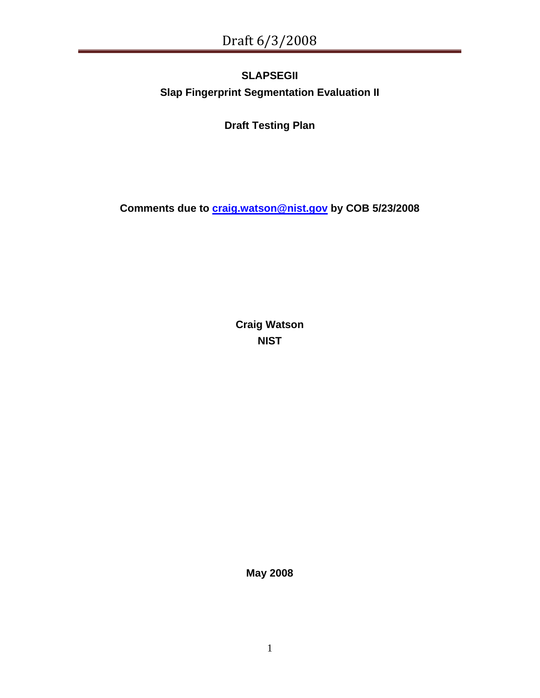# **SLAPSEGII Slap Fingerprint Segmentation Evaluation II**

**Draft Testing Plan** 

**Comments due to [craig.watson@nist.gov](mailto:craig.watson@nist.gov) by COB 5/23/2008** 

**Craig Watson NIST**

**May 2008**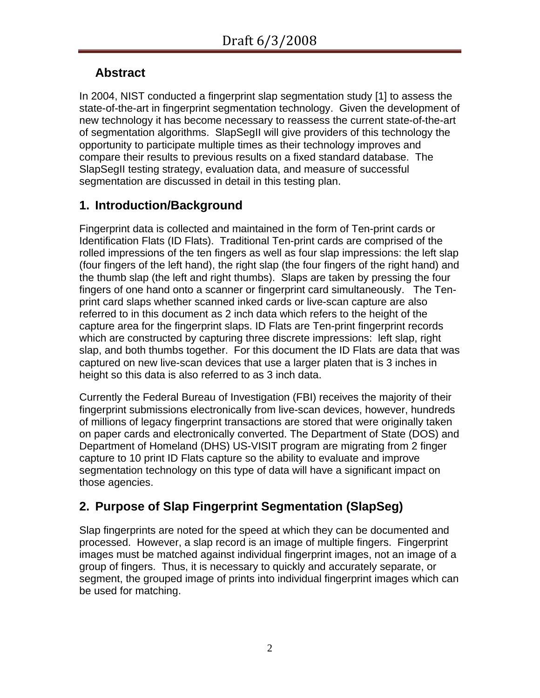# **Abstract**

In 2004, NIST conducted a fingerprint slap segmentation study [[1\]](#page-22-0) to assess the state-of-the-art in fingerprint segmentation technology. Given the development of new technology it has become necessary to reassess the current state-of-the-art of segmentation algorithms. SlapSegII will give providers of this technology the opportunity to participate multiple times as their technology improves and compare their results to previous results on a fixed standard database. The SlapSegII testing strategy, evaluation data, and measure of successful segmentation are discussed in detail in this testing plan.

## **1. Introduction/Background**

Fingerprint data is collected and maintained in the form of Ten-print cards or Identification Flats (ID Flats). Traditional Ten-print cards are comprised of the rolled impressions of the ten fingers as well as four slap impressions: the left slap (four fingers of the left hand), the right slap (the four fingers of the right hand) and the thumb slap (the left and right thumbs). Slaps are taken by pressing the four fingers of one hand onto a scanner or fingerprint card simultaneously. The Tenprint card slaps whether scanned inked cards or live-scan capture are also referred to in this document as 2 inch data which refers to the height of the capture area for the fingerprint slaps. ID Flats are Ten-print fingerprint records which are constructed by capturing three discrete impressions: left slap, right slap, and both thumbs together. For this document the ID Flats are data that was captured on new live-scan devices that use a larger platen that is 3 inches in height so this data is also referred to as 3 inch data.

Currently the Federal Bureau of Investigation (FBI) receives the majority of their fingerprint submissions electronically from live-scan devices, however, hundreds of millions of legacy fingerprint transactions are stored that were originally taken on paper cards and electronically converted. The Department of State (DOS) and Department of Homeland (DHS) US-VISIT program are migrating from 2 finger capture to 10 print ID Flats capture so the ability to evaluate and improve segmentation technology on this type of data will have a significant impact on those agencies.

## **2. Purpose of Slap Fingerprint Segmentation (SlapSeg)**

Slap fingerprints are noted for the speed at which they can be documented and processed. However, a slap record is an image of multiple fingers. Fingerprint images must be matched against individual fingerprint images, not an image of a group of fingers. Thus, it is necessary to quickly and accurately separate, or segment, the grouped image of prints into individual fingerprint images which can be used for matching.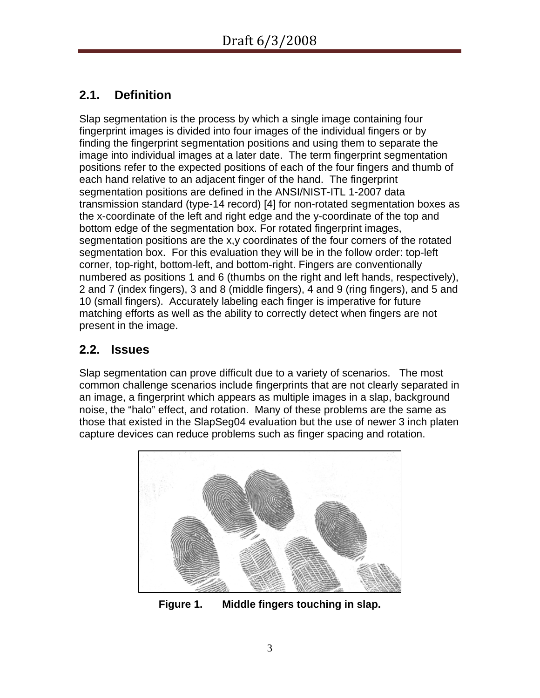# **2.1. Definition**

Slap segmentation is the process by which a single image containing four fingerprint images is divided into four images of the individual fingers or by finding the fingerprint segmentation positions and using them to separate the image into individual images at a later date. The term fingerprint segmentation positions refer to the expected positions of each of the four fingers and thumb of each hand relative to an adjacent finger of the hand. The fingerprint segmentation positions are defined in the ANSI/NIST-ITL 1-2007 data transmission standard (type-14 record) [[4](#page-22-1)] for non-rotated segmentation boxes as the x-coordinate of the left and right edge and the y-coordinate of the top and bottom edge of the segmentation box. For rotated fingerprint images, segmentation positions are the x,y coordinates of the four corners of the rotated segmentation box. For this evaluation they will be in the follow order: top-left corner, top-right, bottom-left, and bottom-right. Fingers are conventionally numbered as positions 1 and 6 (thumbs on the right and left hands, respectively), 2 and 7 (index fingers), 3 and 8 (middle fingers), 4 and 9 (ring fingers), and 5 and 10 (small fingers). Accurately labeling each finger is imperative for future matching efforts as well as the ability to correctly detect when fingers are not present in the image.

# **2.2. Issues**

Slap segmentation can prove difficult due to a variety of scenarios. The most common challenge scenarios include fingerprints that are not clearly separated in an image, a fingerprint which appears as multiple images in a slap, background noise, the "halo" effect, and rotation. Many of these problems are the same as those that existed in the SlapSeg04 evaluation but the use of newer 3 inch platen capture devices can reduce problems such as finger spacing and rotation.

<span id="page-2-0"></span>

**Figure 1. Middle fingers touching in slap.**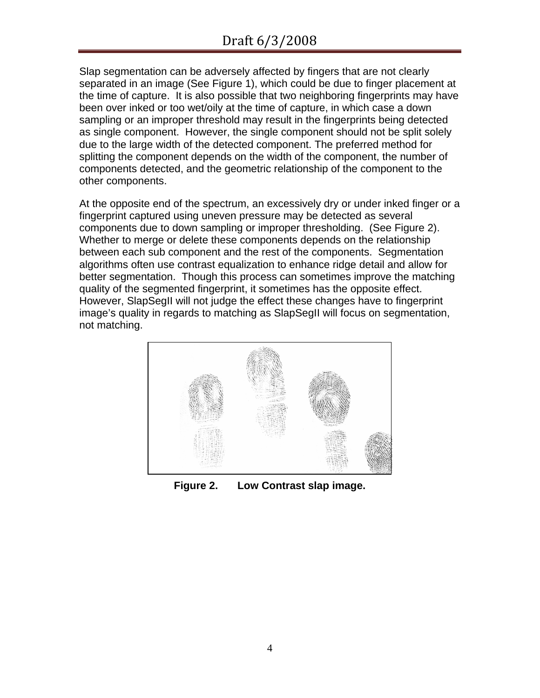Slap segmentation can be adversely affected by fingers that are not clearly separated in an image (See [Figure 1\)](#page-2-0), which could be due to finger placement at the time of capture. It is also possible that two neighboring fingerprints may have been over inked or too wet/oily at the time of capture, in which case a down sampling or an improper threshold may result in the fingerprints being detected as single component. However, the single component should not be split solely due to the large width of the detected component. The preferred method for splitting the component depends on the width of the component, the number of components detected, and the geometric relationship of the component to the other components.

At the opposite end of the spectrum, an excessively dry or under inked finger or a fingerprint captured using uneven pressure may be detected as several components due to down sampling or improper thresholding. (See [Figure 2\)](#page-3-0). Whether to merge or delete these components depends on the relationship between each sub component and the rest of the components. Segmentation algorithms often use contrast equalization to enhance ridge detail and allow for better segmentation. Though this process can sometimes improve the matching quality of the segmented fingerprint, it sometimes has the opposite effect. However, SlapSegII will not judge the effect these changes have to fingerprint image's quality in regards to matching as SlapSegII will focus on segmentation, not matching.

<span id="page-3-0"></span>

**Figure 2. Low Contrast slap image.**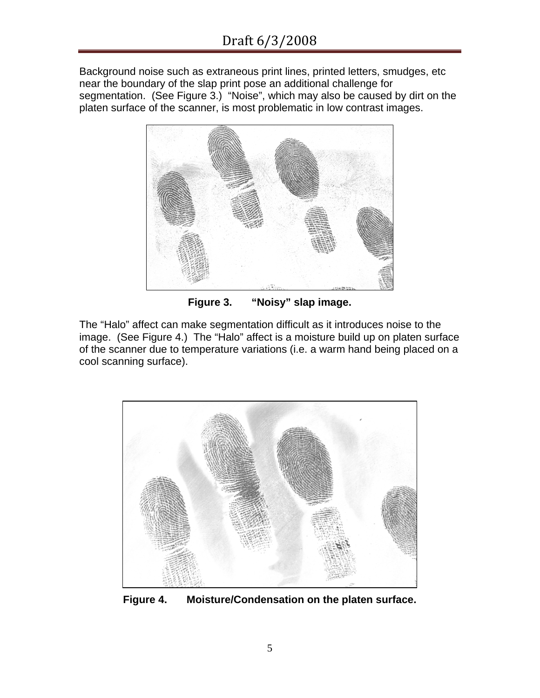Background noise such as extraneous print lines, printed letters, smudges, etc near the boundary of the slap print pose an additional challenge for segmentation. (See [Figure 3.](#page-4-0)) "Noise", which may also be caused by dirt on the platen surface of the scanner, is most problematic in low contrast images.



**Figure 3. "Noisy" slap image.** 

<span id="page-4-0"></span>The "Halo" affect can make segmentation difficult as it introduces noise to the image. (See [Figure 4](#page-4-1).) The "Halo" affect is a moisture build up on platen surface of the scanner due to temperature variations (i.e. a warm hand being placed on a cool scanning surface).

<span id="page-4-1"></span>

**Figure 4. Moisture/Condensation on the platen surface.**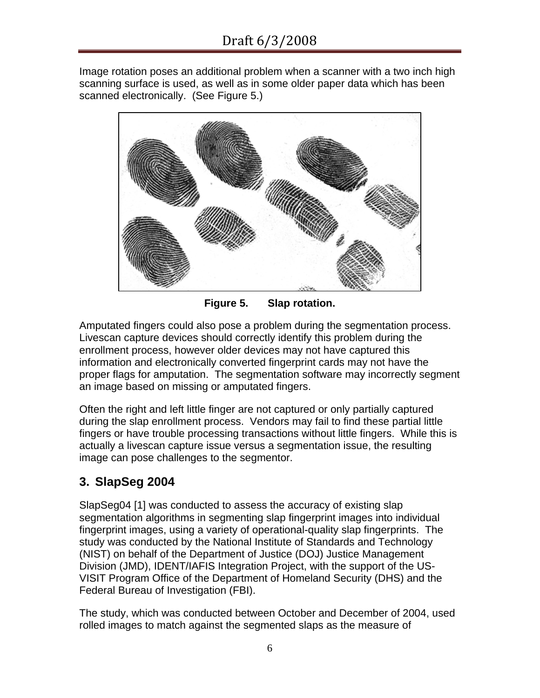Image rotation poses an additional problem when a scanner with a two inch high scanning surface is used, as well as in some older paper data which has been scanned electronically. (See [Figure 5.](#page-5-0))



**Figure 5. Slap rotation.** 

<span id="page-5-0"></span>Amputated fingers could also pose a problem during the segmentation process. Livescan capture devices should correctly identify this problem during the enrollment process, however older devices may not have captured this information and electronically converted fingerprint cards may not have the proper flags for amputation. The segmentation software may incorrectly segment an image based on missing or amputated fingers.

Often the right and left little finger are not captured or only partially captured during the slap enrollment process. Vendors may fail to find these partial little fingers or have trouble processing transactions without little fingers. While this is actually a livescan capture issue versus a segmentation issue, the resulting image can pose challenges to the segmentor.

## **3. SlapSeg 2004**

SlapSeg04 [\[1](#page-22-0)] was conducted to assess the accuracy of existing slap segmentation algorithms in segmenting slap fingerprint images into individual fingerprint images, using a variety of operational-quality slap fingerprints. The study was conducted by the National Institute of Standards and Technology (NIST) on behalf of the Department of Justice (DOJ) Justice Management Division (JMD), IDENT/IAFIS Integration Project, with the support of the US-VISIT Program Office of the Department of Homeland Security (DHS) and the Federal Bureau of Investigation (FBI).

The study, which was conducted between October and December of 2004, used rolled images to match against the segmented slaps as the measure of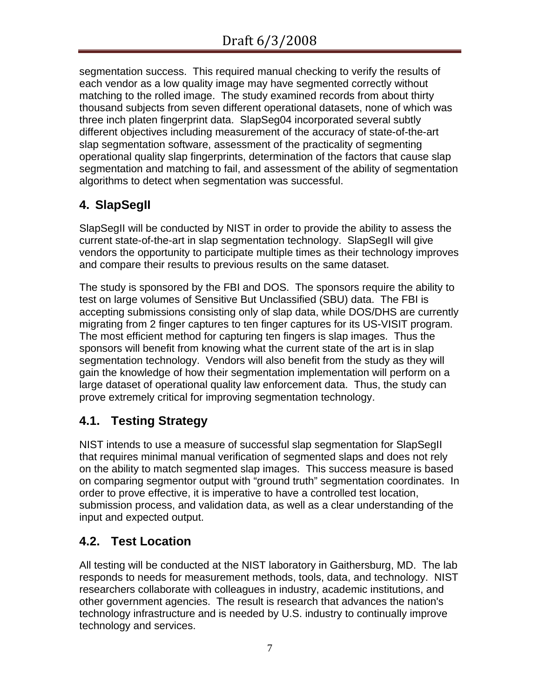segmentation success. This required manual checking to verify the results of each vendor as a low quality image may have segmented correctly without matching to the rolled image. The study examined records from about thirty thousand subjects from seven different operational datasets, none of which was three inch platen fingerprint data. SlapSeg04 incorporated several subtly different objectives including measurement of the accuracy of state-of-the-art slap segmentation software, assessment of the practicality of segmenting operational quality slap fingerprints, determination of the factors that cause slap segmentation and matching to fail, and assessment of the ability of segmentation algorithms to detect when segmentation was successful.

# <span id="page-6-0"></span>**4. SlapSegII**

SlapSegII will be conducted by NIST in order to provide the ability to assess the current state-of-the-art in slap segmentation technology. SlapSegII will give vendors the opportunity to participate multiple times as their technology improves and compare their results to previous results on the same dataset.

The study is sponsored by the FBI and DOS. The sponsors require the ability to test on large volumes of Sensitive But Unclassified (SBU) data. The FBI is accepting submissions consisting only of slap data, while DOS/DHS are currently migrating from 2 finger captures to ten finger captures for its US-VISIT program. The most efficient method for capturing ten fingers is slap images. Thus the sponsors will benefit from knowing what the current state of the art is in slap segmentation technology. Vendors will also benefit from the study as they will gain the knowledge of how their segmentation implementation will perform on a large dataset of operational quality law enforcement data. Thus, the study can prove extremely critical for improving segmentation technology.

# **4.1. Testing Strategy**

NIST intends to use a measure of successful slap segmentation for SlapSegII that requires minimal manual verification of segmented slaps and does not rely on the ability to match segmented slap images. This success measure is based on comparing segmentor output with "ground truth" segmentation coordinates. In order to prove effective, it is imperative to have a controlled test location, submission process, and validation data, as well as a clear understanding of the input and expected output.

# **4.2. Test Location**

All testing will be conducted at the NIST laboratory in Gaithersburg, MD. The lab responds to needs for measurement methods, tools, data, and technology. NIST researchers collaborate with colleagues in industry, academic institutions, and other government agencies. The result is research that advances the nation's technology infrastructure and is needed by U.S. industry to continually improve technology and services.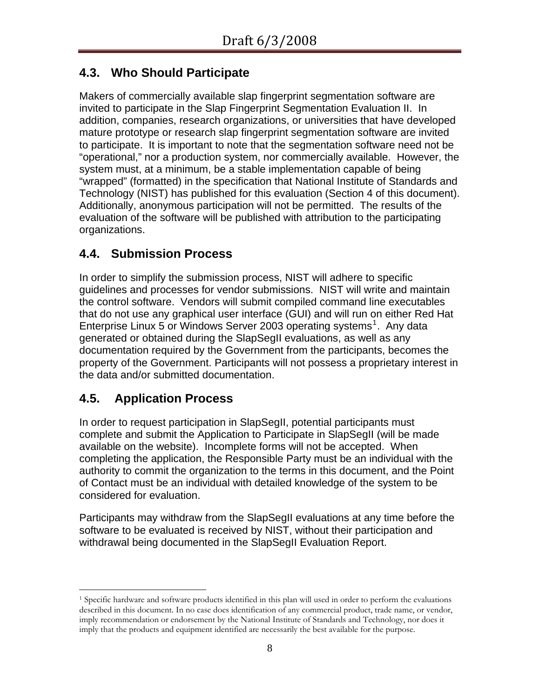# **4.3. Who Should Participate**

Makers of commercially available slap fingerprint segmentation software are invited to participate in the Slap Fingerprint Segmentation Evaluation II. In addition, companies, research organizations, or universities that have developed mature prototype or research slap fingerprint segmentation software are invited to participate. It is important to note that the segmentation software need not be "operational," nor a production system, nor commercially available. However, the system must, at a minimum, be a stable implementation capable of being "wrapped" (formatted) in the specification that National Institute of Standards and Technology (NIST) has published for this evaluation (Section [4](#page-6-0) of this document). Additionally, anonymous participation will not be permitted. The results of the evaluation of the software will be published with attribution to the participating organizations.

## **4.4. Submission Process**

In order to simplify the submission process, NIST will adhere to specific guidelines and processes for vendor submissions. NIST will write and maintain the control software. Vendors will submit compiled command line executables that do not use any graphical user interface (GUI) and will run on either Red Hat Enterprise Linux 5 or Windows Server 2003 operating systems<sup>[1](#page-7-0)</sup>. Any data generated or obtained during the SlapSegII evaluations, as well as any documentation required by the Government from the participants, becomes the property of the Government. Participants will not possess a proprietary interest in the data and/or submitted documentation.

# **4.5. Application Process**

In order to request participation in SlapSegII, potential participants must complete and submit the Application to Participate in SlapSegII (will be made available on the website). Incomplete forms will not be accepted. When completing the application, the Responsible Party must be an individual with the authority to commit the organization to the terms in this document, and the Point of Contact must be an individual with detailed knowledge of the system to be considered for evaluation.

Participants may withdraw from the SlapSegII evaluations at any time before the software to be evaluated is received by NIST, without their participation and withdrawal being documented in the SlapSegII Evaluation Report.

<span id="page-7-0"></span> $\overline{a}$ 1 Specific hardware and software products identified in this plan will used in order to perform the evaluations described in this document. In no case does identification of any commercial product, trade name, or vendor, imply recommendation or endorsement by the National Institute of Standards and Technology, nor does it imply that the products and equipment identified are necessarily the best available for the purpose.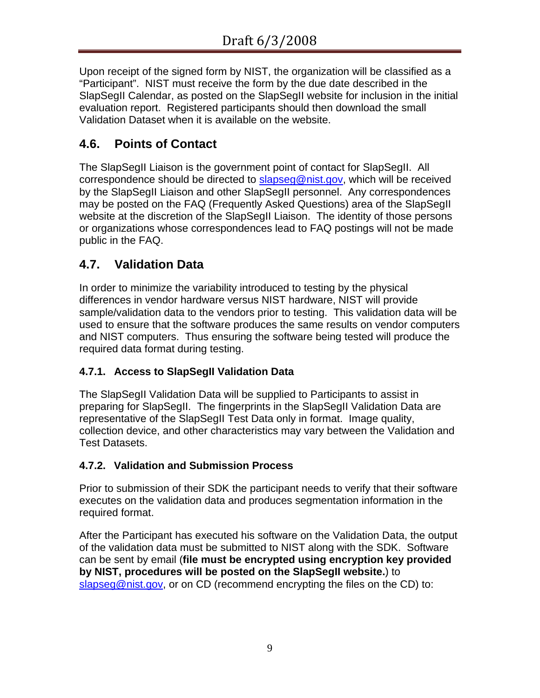Upon receipt of the signed form by NIST, the organization will be classified as a "Participant". NIST must receive the form by the due date described in the SlapSegII Calendar, as posted on the SlapSegII website for inclusion in the initial evaluation report. Registered participants should then download the small Validation Dataset when it is available on the website.

# **4.6. Points of Contact**

The SlapSegII Liaison is the government point of contact for SlapSegII. All correspondence should be directed to [slapseg@nist.gov](mailto:slapseg@nist.gov), which will be received by the SlapSegII Liaison and other SlapSegII personnel. Any correspondences may be posted on the FAQ (Frequently Asked Questions) area of the SlapSegII website at the discretion of the SlapSegII Liaison. The identity of those persons or organizations whose correspondences lead to FAQ postings will not be made public in the FAQ.

# **4.7. Validation Data**

In order to minimize the variability introduced to testing by the physical differences in vendor hardware versus NIST hardware, NIST will provide sample/validation data to the vendors prior to testing. This validation data will be used to ensure that the software produces the same results on vendor computers and NIST computers. Thus ensuring the software being tested will produce the required data format during testing.

### **4.7.1. Access to SlapSegII Validation Data**

The SlapSegII Validation Data will be supplied to Participants to assist in preparing for SlapSegII. The fingerprints in the SlapSegII Validation Data are representative of the SlapSegII Test Data only in format. Image quality, collection device, and other characteristics may vary between the Validation and Test Datasets.

### **4.7.2. Validation and Submission Process**

Prior to submission of their SDK the participant needs to verify that their software executes on the validation data and produces segmentation information in the required format.

After the Participant has executed his software on the Validation Data, the output of the validation data must be submitted to NIST along with the SDK. Software can be sent by email (**file must be encrypted using encryption key provided by NIST, procedures will be posted on the SlapSegII website.**) to [slapseg@nist.gov,](mailto:slapseg@nist.gov) or on CD (recommend encrypting the files on the CD) to: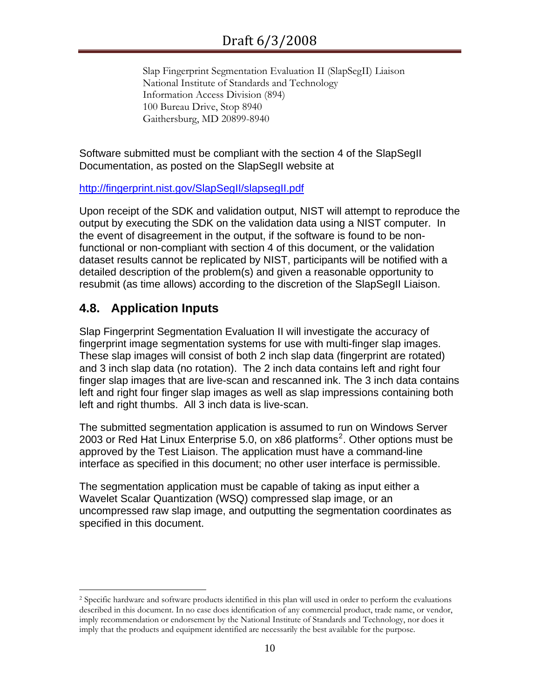Slap Fingerprint Segmentation Evaluation II (SlapSegII) Liaison National Institute of Standards and Technology Information Access Division (894) 100 Bureau Drive, Stop 8940 Gaithersburg, MD 20899-8940

Software submitted must be compliant with the section [4](#page-6-0) of the SlapSegII Documentation, as posted on the SlapSegII website at

### <http://fingerprint.nist.gov/SlapSegII/slapsegII.pdf>

Upon receipt of the SDK and validation output, NIST will attempt to reproduce the output by executing the SDK on the validation data using a NIST computer. In the event of disagreement in the output, if the software is found to be nonfunctional or non-compliant with section [4](#page-6-0) of this document, or the validation dataset results cannot be replicated by NIST, participants will be notified with a detailed description of the problem(s) and given a reasonable opportunity to resubmit (as time allows) according to the discretion of the SlapSegII Liaison.

## **4.8. Application Inputs**

 $\overline{a}$ 

Slap Fingerprint Segmentation Evaluation II will investigate the accuracy of fingerprint image segmentation systems for use with multi-finger slap images. These slap images will consist of both 2 inch slap data (fingerprint are rotated) and 3 inch slap data (no rotation). The 2 inch data contains left and right four finger slap images that are live-scan and rescanned ink. The 3 inch data contains left and right four finger slap images as well as slap impressions containing both left and right thumbs. All 3 inch data is live-scan.

The submitted segmentation application is assumed to run on Windows Server [2](#page-9-0)003 or Red Hat Linux Enterprise 5.0, on x86 platforms<sup>2</sup>. Other options must be approved by the Test Liaison. The application must have a command-line interface as specified in this document; no other user interface is permissible.

The segmentation application must be capable of taking as input either a Wavelet Scalar Quantization (WSQ) compressed slap image, or an uncompressed raw slap image, and outputting the segmentation coordinates as specified in this document.

<span id="page-9-0"></span><sup>2</sup> Specific hardware and software products identified in this plan will used in order to perform the evaluations described in this document. In no case does identification of any commercial product, trade name, or vendor, imply recommendation or endorsement by the National Institute of Standards and Technology, nor does it imply that the products and equipment identified are necessarily the best available for the purpose.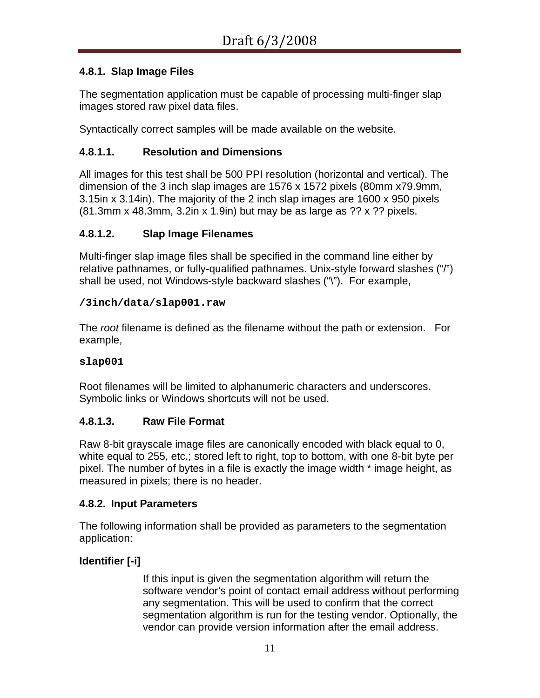### **4.8.1. Slap Image Files**

The segmentation application must be capable of processing multi-finger slap images stored raw pixel data files.

Syntactically correct samples will be made available on the website.

### **4.8.1.1. Resolution and Dimensions**

All images for this test shall be 500 PPI resolution (horizontal and vertical). The dimension of the 3 inch slap images are 1576 x 1572 pixels (80mm x79.9mm, 3.15in x 3.14in). The majority of the 2 inch slap images are 1600 x 950 pixels (81.3mm x 48.3mm, 3.2in x 1.9in) but may be as large as ?? x ?? pixels.

### **4.8.1.2. Slap Image Filenames**

Multi-finger slap image files shall be specified in the command line either by relative pathnames, or fully-qualified pathnames. Unix-style forward slashes ("/") shall be used, not Windows-style backward slashes ("\"). For example,

### **/3inch/data/slap001.raw**

The *root* filename is defined as the filename without the path or extension. For example,

#### **slap001**

Root filenames will be limited to alphanumeric characters and underscores. Symbolic links or Windows shortcuts will not be used.

### **4.8.1.3. Raw File Format**

Raw 8-bit grayscale image files are canonically encoded with black equal to 0, white equal to 255, etc.; stored left to right, top to bottom, with one 8-bit byte per pixel. The number of bytes in a file is exactly the image width \* image height, as measured in pixels; there is no header.

### **4.8.2. Input Parameters**

The following information shall be provided as parameters to the segmentation application:

### **Identifier [-i]**

If this input is given the segmentation algorithm will return the software vendor's point of contact email address without performing any segmentation. This will be used to confirm that the correct segmentation algorithm is run for the testing vendor. Optionally, the vendor can provide version information after the email address.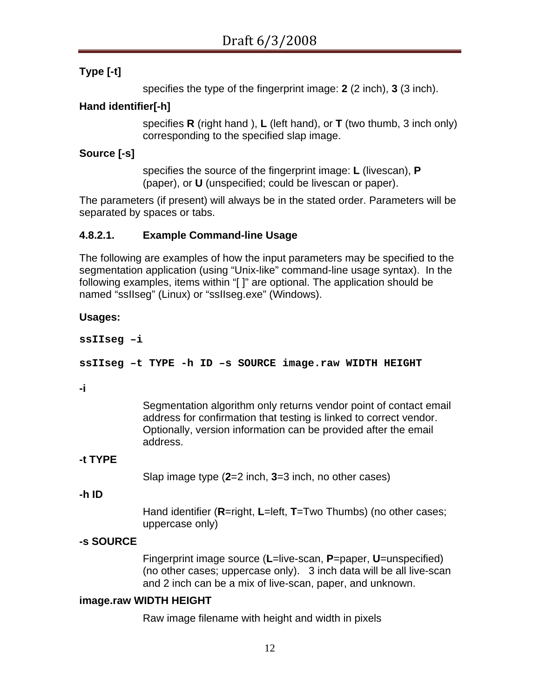### **Type [-t]**

specifies the type of the fingerprint image: **2** (2 inch), **3** (3 inch).

### **Hand identifier[-h]**

specifies **R** (right hand ), **L** (left hand), or **T** (two thumb, 3 inch only) corresponding to the specified slap image.

### **Source [-s]**

specifies the source of the fingerprint image: **L** (livescan), **P** (paper), or **U** (unspecified; could be livescan or paper).

The parameters (if present) will always be in the stated order. Parameters will be separated by spaces or tabs.

### **4.8.2.1. Example Command-line Usage**

The following are examples of how the input parameters may be specified to the segmentation application (using "Unix-like" command-line usage syntax). In the following examples, items within "[ ]" are optional. The application should be named "ssIIseg" (Linux) or "ssIIseg.exe" (Windows).

#### **Usages:**

**ssIIseg –i** 

#### **ssIIseg –t TYPE -h ID –s SOURCE image.raw WIDTH HEIGHT**

#### **-i**

Segmentation algorithm only returns vendor point of contact email address for confirmation that testing is linked to correct vendor. Optionally, version information can be provided after the email address.

### **-t TYPE**

Slap image type (**2**=2 inch, **3**=3 inch, no other cases)

#### **-h ID**

Hand identifier (**R**=right, **L**=left, **T**=Two Thumbs) (no other cases; uppercase only)

#### **-s SOURCE**

Fingerprint image source (**L**=live-scan, **P**=paper, **U**=unspecified) (no other cases; uppercase only). 3 inch data will be all live-scan and 2 inch can be a mix of live-scan, paper, and unknown.

#### **image.raw WIDTH HEIGHT**

Raw image filename with height and width in pixels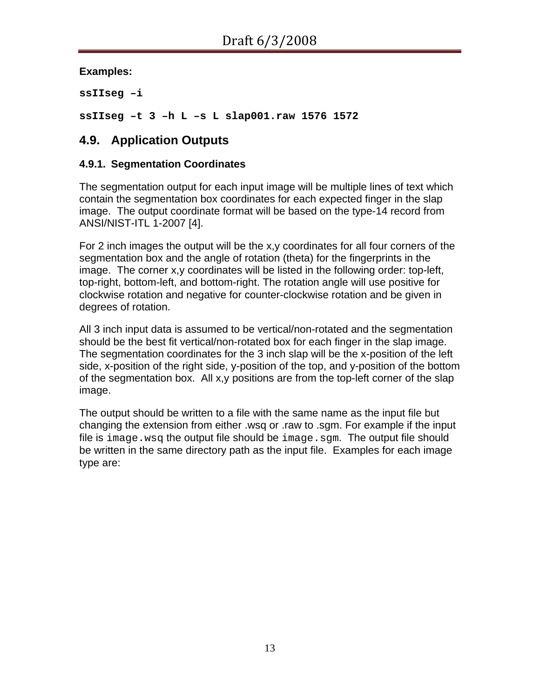**Examples:** 

**ssIIseg –i** 

**ssIIseg –t 3 –h L –s L slap001.raw 1576 1572** 

### **4.9. Application Outputs**

### <span id="page-12-0"></span>**4.9.1. Segmentation Coordinates**

The segmentation output for each input image will be multiple lines of text which contain the segmentation box coordinates for each expected finger in the slap image. The output coordinate format will be based on the type-14 record from ANSI/NIST-ITL 1-2007 [\[4](#page-22-1)].

For 2 inch images the output will be the x,y coordinates for all four corners of the segmentation box and the angle of rotation (theta) for the fingerprints in the image. The corner x,y coordinates will be listed in the following order: top-left, top-right, bottom-left, and bottom-right. The rotation angle will use positive for clockwise rotation and negative for counter-clockwise rotation and be given in degrees of rotation.

All 3 inch input data is assumed to be vertical/non-rotated and the segmentation should be the best fit vertical/non-rotated box for each finger in the slap image. The segmentation coordinates for the 3 inch slap will be the x-position of the left side, x-position of the right side, y-position of the top, and y-position of the bottom of the segmentation box. All x,y positions are from the top-left corner of the slap image.

The output should be written to a file with the same name as the input file but changing the extension from either .wsq or .raw to .sgm. For example if the input file is  $image.wsq$  the output file should be  $image.sqm$ . The output file should be written in the same directory path as the input file. Examples for each image type are: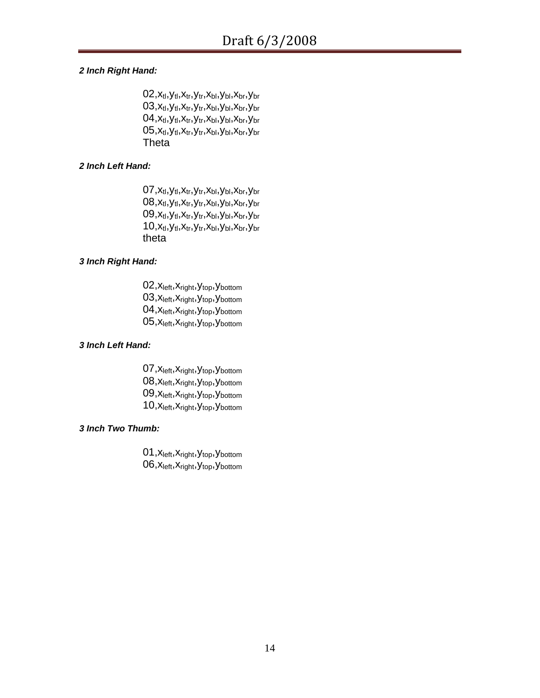#### *2 Inch Right Hand:*

 $02, x_{tl}, y_{tl}, x_{tr}, y_{tr}, x_{bl}, y_{bl}, x_{br}, y_{br}$  $03, x_{tl}, y_{tl}, x_{tr}, y_{tr}, x_{bl}, y_{bl}, x_{br}, y_{br}$  $04, x_{tl}, y_{tl}, x_{tr}, y_{tr}, x_{bl}, y_{bl}, x_{br}, y_{br}$  $05, x_{tl}, y_{tl}, x_{tr}, y_{tr}, x_{bl}, y_{bl}, x_{br}, y_{br}$ Theta

#### *2 Inch Left Hand:*

 $07, x_{tl}, y_{tl}, x_{tr}, y_{tr}, x_{bl}, y_{bl}, x_{br}, y_{br}$  $08, x_{tl}, y_{tl}, x_{tr}, y_{tr}, x_{bl}, y_{bl}, x_{br}, y_{br}$  $09, x_{tl}, y_{tl}, x_{tr}, y_{tr}, x_{bl}, y_{bl}, x_{br}, y_{br}$  $10, x_{tl}, y_{tl}, x_{tr}, y_{tr}, x_{bl}, y_{bl}, x_{br}, y_{br}$ theta

#### *3 Inch Right Hand:*

02, X<sub>left</sub>, X<sub>right</sub>, Y<sub>top</sub>, Y<sub>bottom</sub> 03, X<sub>left</sub>, X<sub>right</sub>, Y<sub>top</sub>, Ybottom 04, X<sub>left</sub>, X<sub>right</sub>, Y<sub>top</sub>, Y<sub>bottom</sub> 05, X<sub>left</sub>, X<sub>right</sub>, Y<sub>top</sub>, Y<sub>bottom</sub>

#### *3 Inch Left Hand:*

07, X<sub>left</sub>, X<sub>right</sub>, Y<sub>top</sub>, Y<sub>bottom</sub> 08, X<sub>left</sub>, X<sub>right</sub>, Y<sub>top</sub>, Y<sub>bottom</sub> 09, X<sub>left</sub>, X<sub>right</sub>, Y<sub>top</sub>, Y<sub>bottom</sub> 10, X<sub>left</sub>, X<sub>right</sub>, Y<sub>top</sub>, Y<sub>bottom</sub>

#### *3 Inch Two Thumb:*

01, X<sub>left</sub>, X<sub>right</sub>, Y<sub>top</sub>, Y<sub>bottom</sub> 06, X<sub>left</sub>, X<sub>right</sub>, Y<sub>top</sub>, Y<sub>bottom</sub>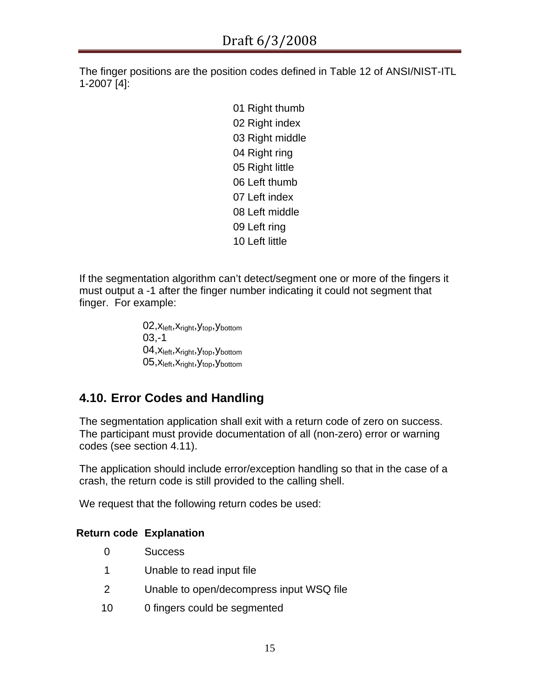The finger positions are the position codes defined in Table 12 of ANSI/NIST-ITL 1-2007 [\[4\]](#page-22-1):

> Right thumb Right index Right middle Right ring Right little Left thumb Left index Left middle Left ring Left little

If the segmentation algorithm can't detect/segment one or more of the fingers it must output a -1 after the finger number indicating it could not segment that finger. For example:

> 02, X<sub>left</sub>, X<sub>right</sub>, Y<sub>top</sub>, Y<sub>bottom</sub> 03,-1 04, X<sub>left</sub>, X<sub>right</sub>, Y<sub>top</sub>, Y<sub>bottom</sub> 05, X<sub>left</sub>, X<sub>right</sub>, Y<sub>top</sub>, Y<sub>bottom</sub>

## **4.10. Error Codes and Handling**

The segmentation application shall exit with a return code of zero on success. The participant must provide documentation of all (non-zero) error or warning codes (see section [4.11\)](#page-15-0).

The application should include error/exception handling so that in the case of a crash, the return code is still provided to the calling shell.

We request that the following return codes be used:

### **Return code Explanation**

- 0 Success
- 1 Unable to read input file
- 2 Unable to open/decompress input WSQ file
- 10 0 fingers could be segmented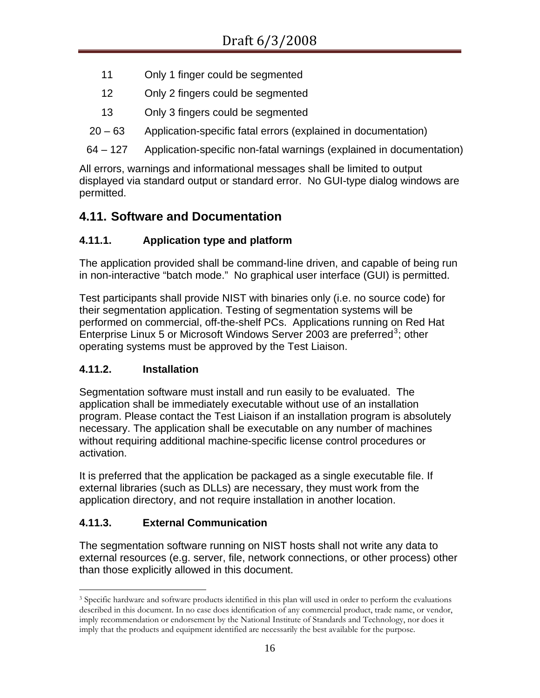- 11 Only 1 finger could be segmented
- 12 Only 2 fingers could be segmented
- 13 Only 3 fingers could be segmented
- 20 63 Application-specific fatal errors (explained in documentation)

64 – 127 Application-specific non-fatal warnings (explained in documentation)

All errors, warnings and informational messages shall be limited to output displayed via standard output or standard error. No GUI-type dialog windows are permitted.

# <span id="page-15-0"></span>**4.11. Software and Documentation**

### **4.11.1. Application type and platform**

The application provided shall be command-line driven, and capable of being run in non-interactive "batch mode." No graphical user interface (GUI) is permitted.

Test participants shall provide NIST with binaries only (i.e. no source code) for their segmentation application. Testing of segmentation systems will be performed on commercial, off-the-shelf PCs. Applications running on Red Hat Enterprise Linux 5 or Microsoft Windows Server 200[3](#page-15-1) are preferred<sup>3</sup>; other operating systems must be approved by the Test Liaison.

### **4.11.2. Installation**

Segmentation software must install and run easily to be evaluated. The application shall be immediately executable without use of an installation program. Please contact the Test Liaison if an installation program is absolutely necessary. The application shall be executable on any number of machines without requiring additional machine-specific license control procedures or activation.

It is preferred that the application be packaged as a single executable file. If external libraries (such as DLLs) are necessary, they must work from the application directory, and not require installation in another location.

### **4.11.3. External Communication**

The segmentation software running on NIST hosts shall not write any data to external resources (e.g. server, file, network connections, or other process) other than those explicitly allowed in this document.

<span id="page-15-1"></span> $\overline{a}$ <sup>3</sup> Specific hardware and software products identified in this plan will used in order to perform the evaluations described in this document. In no case does identification of any commercial product, trade name, or vendor, imply recommendation or endorsement by the National Institute of Standards and Technology, nor does it imply that the products and equipment identified are necessarily the best available for the purpose.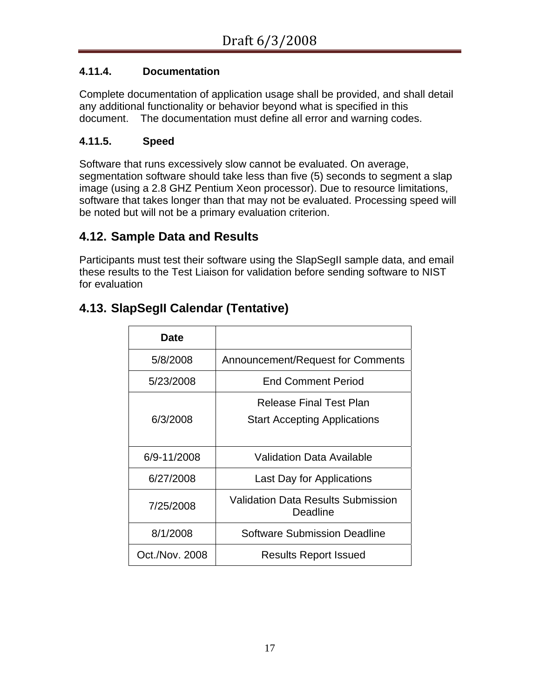### **4.11.4. Documentation**

Complete documentation of application usage shall be provided, and shall detail any additional functionality or behavior beyond what is specified in this document. The documentation must define all error and warning codes.

### **4.11.5. Speed**

Software that runs excessively slow cannot be evaluated. On average, segmentation software should take less than five (5) seconds to segment a slap image (using a 2.8 GHZ Pentium Xeon processor). Due to resource limitations, software that takes longer than that may not be evaluated. Processing speed will be noted but will not be a primary evaluation criterion.

## **4.12. Sample Data and Results**

Participants must test their software using the SlapSegII sample data, and email these results to the Test Liaison for validation before sending software to NIST for evaluation

# **4.13. SlapSegII Calendar (Tentative)**

| Date           |                                                       |  |
|----------------|-------------------------------------------------------|--|
| 5/8/2008       | Announcement/Request for Comments                     |  |
| 5/23/2008      | <b>End Comment Period</b>                             |  |
|                | Release Final Test Plan                               |  |
| 6/3/2008       | <b>Start Accepting Applications</b>                   |  |
|                |                                                       |  |
| 6/9-11/2008    | Validation Data Available                             |  |
| 6/27/2008      | Last Day for Applications                             |  |
| 7/25/2008      | <b>Validation Data Results Submission</b><br>Deadline |  |
| 8/1/2008       | <b>Software Submission Deadline</b>                   |  |
| Oct./Nov. 2008 | <b>Results Report Issued</b>                          |  |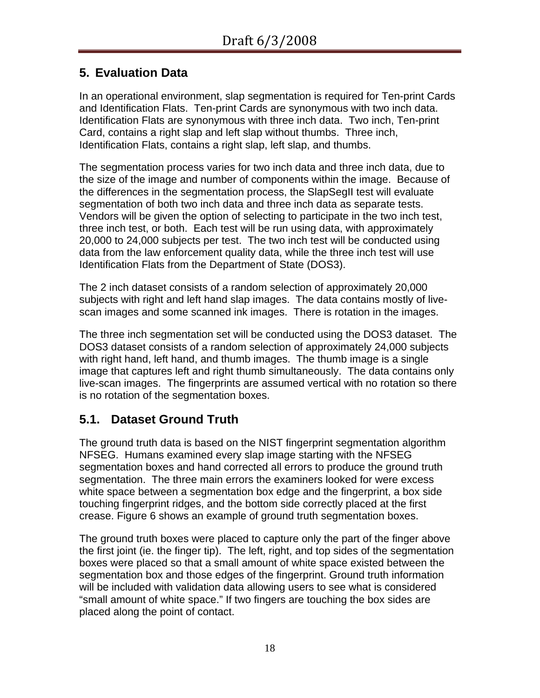# **5. Evaluation Data**

In an operational environment, slap segmentation is required for Ten-print Cards and Identification Flats. Ten-print Cards are synonymous with two inch data. Identification Flats are synonymous with three inch data. Two inch, Ten-print Card, contains a right slap and left slap without thumbs. Three inch, Identification Flats, contains a right slap, left slap, and thumbs.

The segmentation process varies for two inch data and three inch data, due to the size of the image and number of components within the image. Because of the differences in the segmentation process, the SlapSegII test will evaluate segmentation of both two inch data and three inch data as separate tests. Vendors will be given the option of selecting to participate in the two inch test, three inch test, or both. Each test will be run using data, with approximately 20,000 to 24,000 subjects per test. The two inch test will be conducted using data from the law enforcement quality data, while the three inch test will use Identification Flats from the Department of State (DOS3).

The 2 inch dataset consists of a random selection of approximately 20,000 subjects with right and left hand slap images. The data contains mostly of livescan images and some scanned ink images. There is rotation in the images.

The three inch segmentation set will be conducted using the DOS3 dataset. The DOS3 dataset consists of a random selection of approximately 24,000 subjects with right hand, left hand, and thumb images. The thumb image is a single image that captures left and right thumb simultaneously. The data contains only live-scan images. The fingerprints are assumed vertical with no rotation so there is no rotation of the segmentation boxes.

### **5.1. Dataset Ground Truth**

The ground truth data is based on the NIST fingerprint segmentation algorithm NFSEG. Humans examined every slap image starting with the NFSEG segmentation boxes and hand corrected all errors to produce the ground truth segmentation. The three main errors the examiners looked for were excess white space between a segmentation box edge and the fingerprint, a box side touching fingerprint ridges, and the bottom side correctly placed at the first crease. [Figure 6](#page-18-0) shows an example of ground truth segmentation boxes.

The ground truth boxes were placed to capture only the part of the finger above the first joint (ie. the finger tip). The left, right, and top sides of the segmentation boxes were placed so that a small amount of white space existed between the segmentation box and those edges of the fingerprint. Ground truth information will be included with validation data allowing users to see what is considered "small amount of white space." If two fingers are touching the box sides are placed along the point of contact.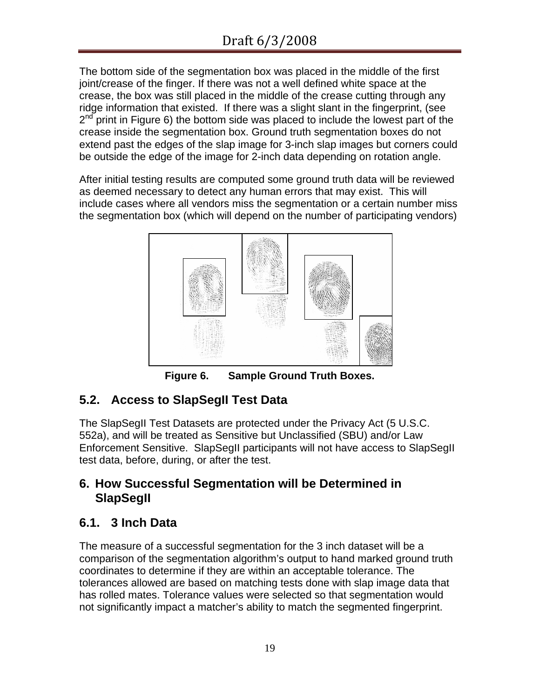The bottom side of the segmentation box was placed in the middle of the first joint/crease of the finger. If there was not a well defined white space at the crease, the box was still placed in the middle of the crease cutting through any ridge information that existed. If there was a slight slant in the fingerprint, (see  $2<sup>nd</sup>$  print in [Figure 6](#page-18-0)) the bottom side was placed to include the lowest part of the crease inside the segmentation box. Ground truth segmentation boxes do not extend past the edges of the slap image for 3-inch slap images but corners could be outside the edge of the image for 2-inch data depending on rotation angle.

After initial testing results are computed some ground truth data will be reviewed as deemed necessary to detect any human errors that may exist. This will include cases where all vendors miss the segmentation or a certain number miss the segmentation box (which will depend on the number of participating vendors)



**Figure 6. Sample Ground Truth Boxes.** 

# <span id="page-18-0"></span>**5.2. Access to SlapSegII Test Data**

The SlapSegII Test Datasets are protected under the Privacy Act (5 U.S.C. 552a), and will be treated as Sensitive but Unclassified (SBU) and/or Law Enforcement Sensitive. SlapSegII participants will not have access to SlapSegII test data, before, during, or after the test.

## **6. How Successful Segmentation will be Determined in SlapSegII**

## **6.1. 3 Inch Data**

The measure of a successful segmentation for the 3 inch dataset will be a comparison of the segmentation algorithm's output to hand marked ground truth coordinates to determine if they are within an acceptable tolerance. The tolerances allowed are based on matching tests done with slap image data that has rolled mates. Tolerance values were selected so that segmentation would not significantly impact a matcher's ability to match the segmented fingerprint.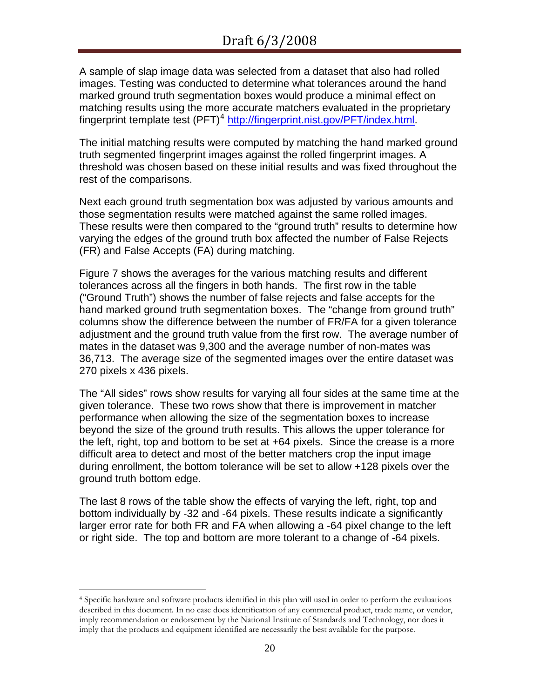# Draft 6/3/2008

A sample of slap image data was selected from a dataset that also had rolled images. Testing was conducted to determine what tolerances around the hand marked ground truth segmentation boxes would produce a minimal effect on matching results using the more accurate matchers evaluated in the proprietary fingerprint template test (PFT)<sup>[4](#page-19-0)</sup> <http://fingerprint.nist.gov/PFT/index.html>.

The initial matching results were computed by matching the hand marked ground truth segmented fingerprint images against the rolled fingerprint images. A threshold was chosen based on these initial results and was fixed throughout the rest of the comparisons.

Next each ground truth segmentation box was adjusted by various amounts and those segmentation results were matched against the same rolled images. These results were then compared to the "ground truth" results to determine how varying the edges of the ground truth box affected the number of False Rejects (FR) and False Accepts (FA) during matching.

[Figure 7](#page-20-0) shows the averages for the various matching results and different tolerances across all the fingers in both hands. The first row in the table ("Ground Truth") shows the number of false rejects and false accepts for the hand marked ground truth segmentation boxes. The "change from ground truth" columns show the difference between the number of FR/FA for a given tolerance adjustment and the ground truth value from the first row. The average number of mates in the dataset was 9,300 and the average number of non-mates was 36,713. The average size of the segmented images over the entire dataset was 270 pixels x 436 pixels.

The "All sides" rows show results for varying all four sides at the same time at the given tolerance. These two rows show that there is improvement in matcher performance when allowing the size of the segmentation boxes to increase beyond the size of the ground truth results. This allows the upper tolerance for the left, right, top and bottom to be set at +64 pixels. Since the crease is a more difficult area to detect and most of the better matchers crop the input image during enrollment, the bottom tolerance will be set to allow +128 pixels over the ground truth bottom edge.

The last 8 rows of the table show the effects of varying the left, right, top and bottom individually by -32 and -64 pixels. These results indicate a significantly larger error rate for both FR and FA when allowing a -64 pixel change to the left or right side. The top and bottom are more tolerant to a change of -64 pixels.

1

<span id="page-19-0"></span><sup>4</sup> Specific hardware and software products identified in this plan will used in order to perform the evaluations described in this document. In no case does identification of any commercial product, trade name, or vendor, imply recommendation or endorsement by the National Institute of Standards and Technology, nor does it imply that the products and equipment identified are necessarily the best available for the purpose.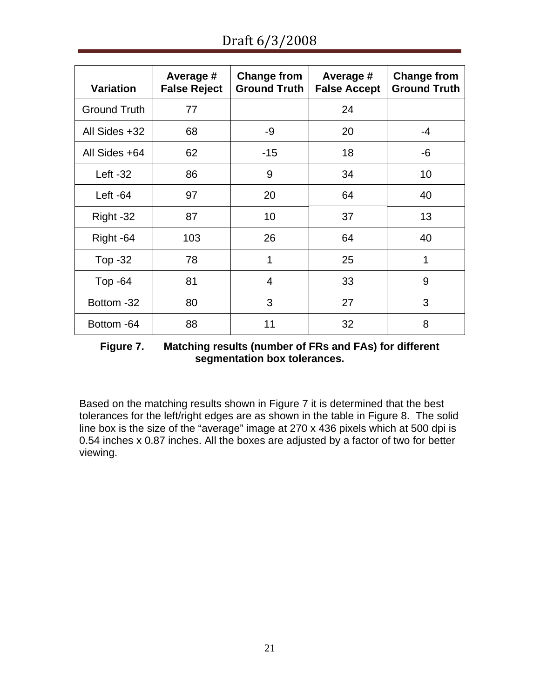# Draft 6/3/2008

| <b>Variation</b>    | Average #<br><b>False Reject</b> | <b>Change from</b><br><b>Ground Truth</b> | Average #<br><b>False Accept</b> | <b>Change from</b><br><b>Ground Truth</b> |
|---------------------|----------------------------------|-------------------------------------------|----------------------------------|-------------------------------------------|
| <b>Ground Truth</b> | 77                               |                                           | 24                               |                                           |
| All Sides +32       | 68                               | -9                                        | 20                               | $-4$                                      |
| All Sides +64       | 62                               | $-15$                                     | 18                               | -6                                        |
| Left $-32$          | 86                               | 9                                         | 34                               | 10                                        |
| Left $-64$          | 97                               | 20                                        | 64                               | 40                                        |
| Right -32           | 87                               | 10                                        | 37                               | 13                                        |
| Right -64           | 103                              | 26                                        | 64                               | 40                                        |
| Top -32             | 78                               | 1                                         | 25                               | 1                                         |
| Top $-64$           | 81                               | $\overline{4}$                            | 33                               | 9                                         |
| Bottom -32          | 80                               | 3                                         | 27                               | 3                                         |
| Bottom -64          | 88                               | 11                                        | 32                               | 8                                         |

**Figure 7. Matching results (number of FRs and FAs) for different segmentation box tolerances.** 

<span id="page-20-0"></span>Based on the matching results shown in [Figure 7](#page-20-0) it is determined that the best tolerances for the left/right edges are as shown in the table in [Figure 8](#page-21-0). The solid line box is the size of the "average" image at 270 x 436 pixels which at 500 dpi is 0.54 inches x 0.87 inches. All the boxes are adjusted by a factor of two for better viewing.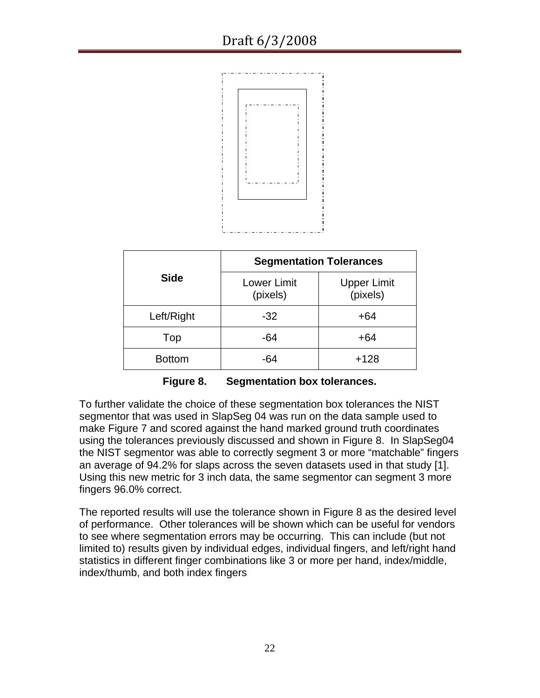

|               | <b>Segmentation Tolerances</b> |                                |  |
|---------------|--------------------------------|--------------------------------|--|
| <b>Side</b>   | <b>Lower Limit</b><br>(pixels) | <b>Upper Limit</b><br>(pixels) |  |
| Left/Right    | $-32$                          | $+64$                          |  |
| Top           | -64                            | $+64$                          |  |
| <b>Bottom</b> | -64                            | $+128$                         |  |

**Figure 8. Segmentation box tolerances.** 

<span id="page-21-0"></span>To further validate the choice of these segmentation box tolerances the NIST segmentor that was used in SlapSeg 04 was run on the data sample used to make [Figure 7](#page-20-0) and scored against the hand marked ground truth coordinates using the tolerances previously discussed and shown in [Figure 8.](#page-21-0) In SlapSeg04 the NIST segmentor was able to correctly segment 3 or more "matchable" fingers an average of 94.2% for slaps across the seven datasets used in that study [\[1\]](#page-22-0). Using this new metric for 3 inch data, the same segmentor can segment 3 more fingers 96.0% correct.

The reported results will use the tolerance shown in [Figure 8](#page-21-0) as the desired level of performance. Other tolerances will be shown which can be useful for vendors to see where segmentation errors may be occurring. This can include (but not limited to) results given by individual edges, individual fingers, and left/right hand statistics in different finger combinations like 3 or more per hand, index/middle, index/thumb, and both index fingers